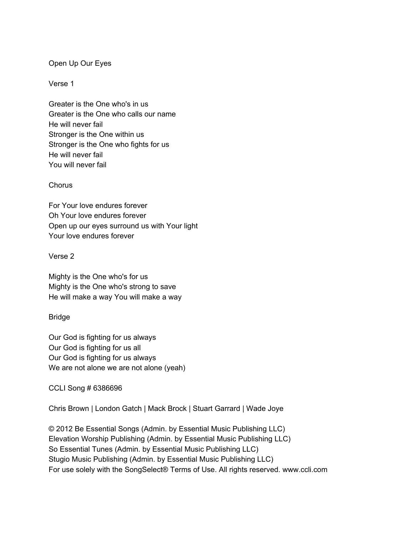# Open Up Our Eyes

## Verse 1

Greater is the One who's in us Greater is the One who calls our name He will never fail Stronger is the One within us Stronger is the One who fights for us He will never fail You will never fail

### **Chorus**

For Your love endures forever Oh Your love endures forever Open up our eyes surround us with Your light Your love endures forever

### Verse 2

Mighty is the One who's for us Mighty is the One who's strong to save He will make a way You will make a way

# Bridge

Our God is fighting for us always Our God is fighting for us all Our God is fighting for us always We are not alone we are not alone (yeah)

CCLI Song # 6386696

Chris Brown | London Gatch | Mack Brock | Stuart Garrard | Wade Joye

© 2012 Be Essential Songs (Admin. by Essential Music Publishing LLC) Elevation Worship Publishing (Admin. by Essential Music Publishing LLC) So Essential Tunes (Admin. by Essential Music Publishing LLC) Stugio Music Publishing (Admin. by Essential Music Publishing LLC) For use solely with the SongSelect® Terms of Use. All rights reserved. www.ccli.com